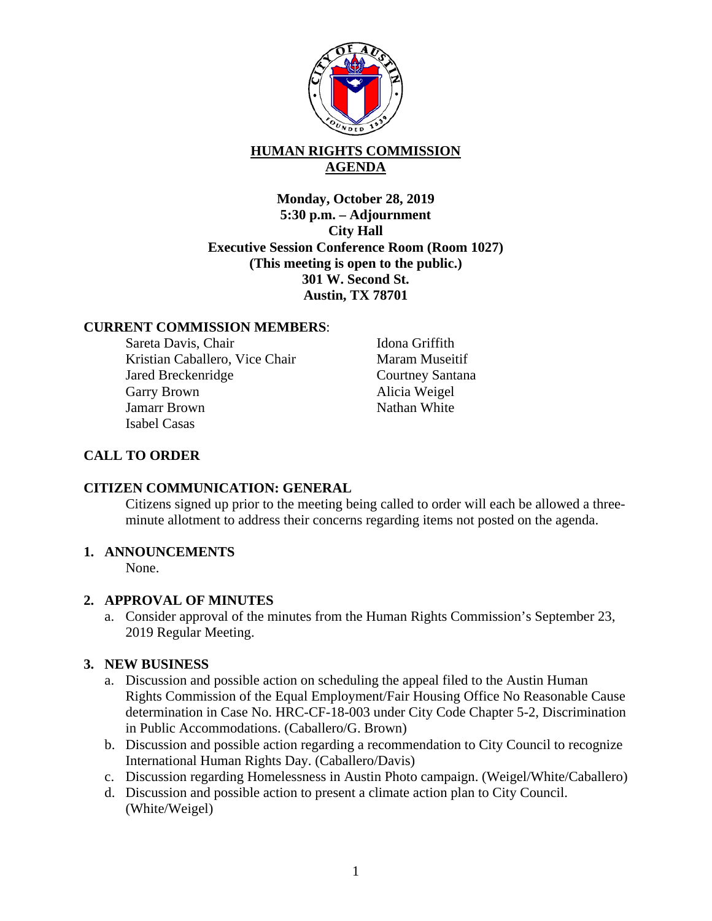

# **HUMAN RIGHTS COMMISSION AGENDA**

**Monday, October 28, 2019 5:30 p.m. – Adjournment City Hall Executive Session Conference Room (Room 1027) (This meeting is open to the public.) 301 W. Second St. Austin, TX 78701** 

### **CURRENT COMMISSION MEMBERS**:

Sareta Davis, Chair Kristian Caballero, Vice Chair Jared Breckenridge Garry Brown Jamarr Brown Isabel Casas

Idona Griffith Maram Museitif Courtney Santana Alicia Weigel Nathan White

# **CALL TO ORDER**

### **CITIZEN COMMUNICATION: GENERAL**

Citizens signed up prior to the meeting being called to order will each be allowed a threeminute allotment to address their concerns regarding items not posted on the agenda.

### **1. ANNOUNCEMENTS**

None.

### **2. APPROVAL OF MINUTES**

a. Consider approval of the minutes from the Human Rights Commission's September 23, 2019 Regular Meeting.

### **3. NEW BUSINESS**

- a. Discussion and possible action on scheduling the appeal filed to the Austin Human Rights Commission of the Equal Employment/Fair Housing Office No Reasonable Cause determination in Case No. HRC-CF-18-003 under City Code Chapter 5-2, Discrimination in Public Accommodations. (Caballero/G. Brown)
- b. Discussion and possible action regarding a recommendation to City Council to recognize International Human Rights Day. (Caballero/Davis)
- c. Discussion regarding Homelessness in Austin Photo campaign. (Weigel/White/Caballero)
- d. Discussion and possible action to present a climate action plan to City Council. (White/Weigel)